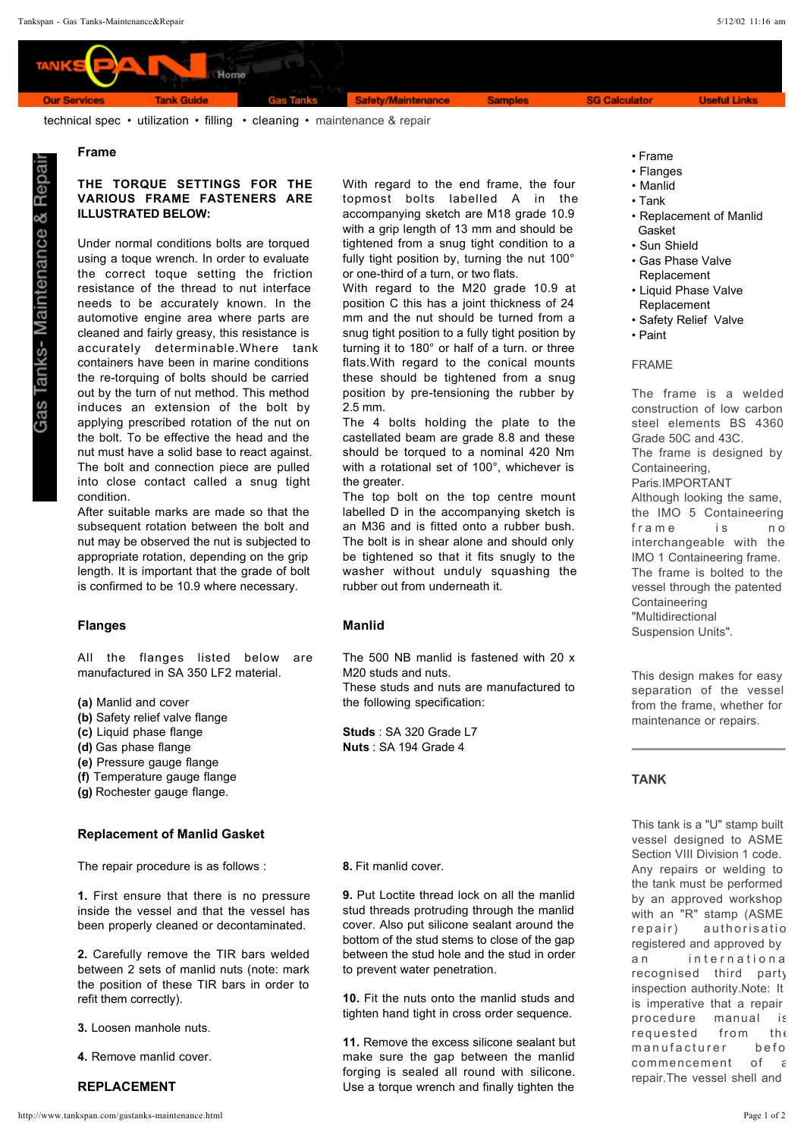Home **Gas Tanks** Safety/Maintenance **Tank Guide Samples** 

**SG Calculator** 

**Useful Links** 

technical spec • utilization • filling • cleaning • maintenance & repair

### **Frame**

**Our Services** 

ళ

Tanks- Maintenance

## **THE TORQUE SETTINGS FOR THE VARIOUS FRAME FASTENERS ARE ILLUSTRATED BELOW:**

Under normal conditions bolts are torqued using a toque wrench. In order to evaluate the correct toque setting the friction resistance of the thread to nut interface needs to be accurately known. In the automotive engine area where parts are cleaned and fairly greasy, this resistance is accurately determinable.Where tank containers have been in marine conditions the re-torquing of bolts should be carried out by the turn of nut method. This method induces an extension of the bolt by applying prescribed rotation of the nut on the bolt. To be effective the head and the nut must have a solid base to react against. The bolt and connection piece are pulled into close contact called a snug tight condition.

After suitable marks are made so that the subsequent rotation between the bolt and nut may be observed the nut is subjected to appropriate rotation, depending on the grip length. It is important that the grade of bolt is confirmed to be 10.9 where necessary.

## **Flanges Manlid**

All the flanges listed below are manufactured in SA 350 LF2 material.

- Manlid and cover **(a)**
- **(b)** Safety relief valve flange
- Liquid phase flange **(c)**
- (d) Gas phase flange
- Pressure gauge flange **(e)**
- Temperature gauge flange **(f)**
- Rochester gauge flange. **(g)**

## **Replacement of Manlid Gasket**

The repair procedure is as follows :

1. First ensure that there is no pressure inside the vessel and that the vessel has been properly cleaned or decontaminated.

2. Carefully remove the TIR bars welded between 2 sets of manlid nuts (note: mark the position of these TIR bars in order to refit them correctly).

- **3.** Loosen manhole nuts.
- **4.** Remove manlid cover.

### **REPLACEMENT**

With regard to the end frame, the four topmost bolts labelled A in the accompanying sketch are M18 grade 10.9 with a grip length of 13 mm and should be tightened from a snug tight condition to a fully tight position by, turning the nut 100° or one-third of a turn, or two flats.

With regard to the M20 grade 10.9 at position C this has a joint thickness of 24 mm and the nut should be turned from a snug tight position to a fully tight position by turning it to 180° or half of a turn. or three flats.With regard to the conical mounts these should be tightened from a snug position by pre-tensioning the rubber by 2.5 mm.

The 4 bolts holding the plate to the castellated beam are grade 8.8 and these should be torqued to a nominal 420 Nm with a rotational set of 100°, whichever is the greater.

The top bolt on the top centre mount labelled D in the accompanying sketch is an M36 and is fitted onto a rubber bush. The bolt is in shear alone and should only be tightened so that it fits snugly to the washer without unduly squashing the rubber out from underneath it.

The 500 NB manlid is fastened with 20 x M20 studs and nuts. These studs and nuts are manufactured to the following specification:

 : SA 320 Grade L7 **Studs** : SA 194 Grade 4 **Nuts**

**8.** Fit manlid cover.

**9.** Put Loctite thread lock on all the manlid stud threads protruding through the manlid cover. Also put silicone sealant around the bottom of the stud stems to close of the gap between the stud hole and the stud in order to prevent water penetration.

10. Fit the nuts onto the manlid studs and tighten hand tight in cross order sequence.

11. Remove the excess silicone sealant but make sure the gap between the manlid forging is sealed all round with silicone. Use a torque wrench and finally tighten the

- Frame
- Flanges
- Manlid
- Tank
- Replacement of Manlid
- Gasket
- Sun Shield
- Gas Phase Valve Replacement
- Liquid Phase Valve Replacement
- Safety Relief Valve • Paint
- 

### FRAME

The frame is a welded construction of low carbon steel elements BS 4360 Grade 50C and 43C. The frame is designed by Containeering, Paris.IMPORTANT Although looking the same, the IMO 5 Containeering frame is no interchangeable with the IMO 1 Containeering frame. The frame is bolted to the vessel through the patented Containeering "Multidirectional Suspension Units".

This design makes for easy separation of the vessel from the frame, whether for maintenance or repairs.

## **TANK**

This tank is a "U" stamp built vessel designed to ASME Section VIII Division 1 code. Any repairs or welding to the tank must be performed by an approved workshop with an "R" stamp (ASME repair) authorisation registered and approved by an international recognised third party inspection authority.Note: It is imperative that a repair procedure manual is requested from the manufacturer befo commencement of a repair.The vessel shell and